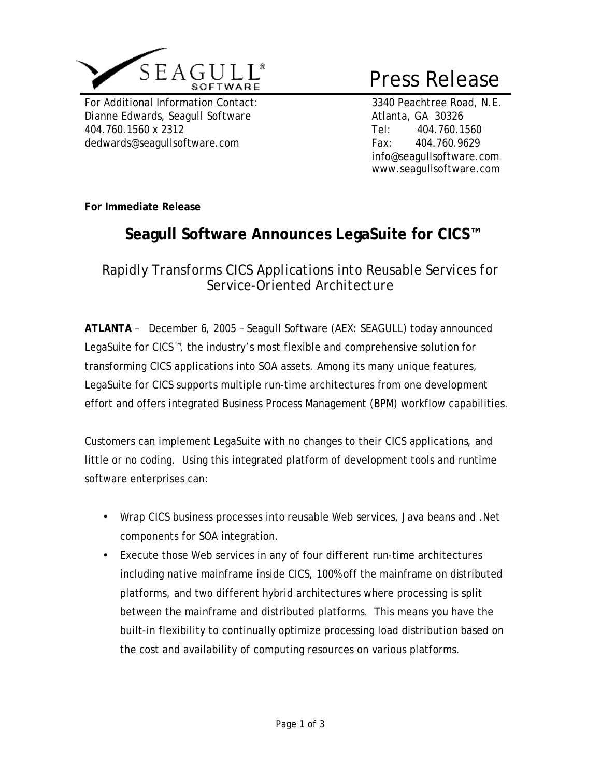

For Additional Information Contact: 3340 Peachtree Road, N.E. *Dianne Edwards, Seagull Software* Atlanta, GA 30326 404.760.1560 x 2312 Tel: 404.760.1560 dedwards@seagullsoftware.com Fax: 404.760.9629

# Press Release

info@seagullsoftware.com www.seagullsoftware.com

**For Immediate Release**

## **Seagull Software Announces LegaSuite for CICS™**

*Rapidly Transforms CICS Applications into Reusable Services for Service-Oriented Architecture* 

**ATLANTA** – December 6, 2005 – Seagull Software (AEX: SEAGULL) today announced LegaSuite for CICS™, the industry's most flexible and comprehensive solution for transforming CICS applications into SOA assets. Among its many unique features, LegaSuite for CICS supports multiple run-time architectures from one development effort and offers integrated Business Process Management (BPM) workflow capabilities.

Customers can implement LegaSuite with no changes to their CICS applications, and little or no coding. Using this integrated platform of development tools and runtime software enterprises can:

- Wrap CICS business processes into reusable Web services, Java beans and .Net components for SOA integration.
- Execute those Web services in any of four different run-time architectures including native mainframe inside CICS, 100% off the mainframe on distributed platforms, and two different hybrid architectures where processing is split between the mainframe and distributed platforms. This means you have the built-in flexibility to continually optimize processing load distribution based on the cost and availability of computing resources on various platforms.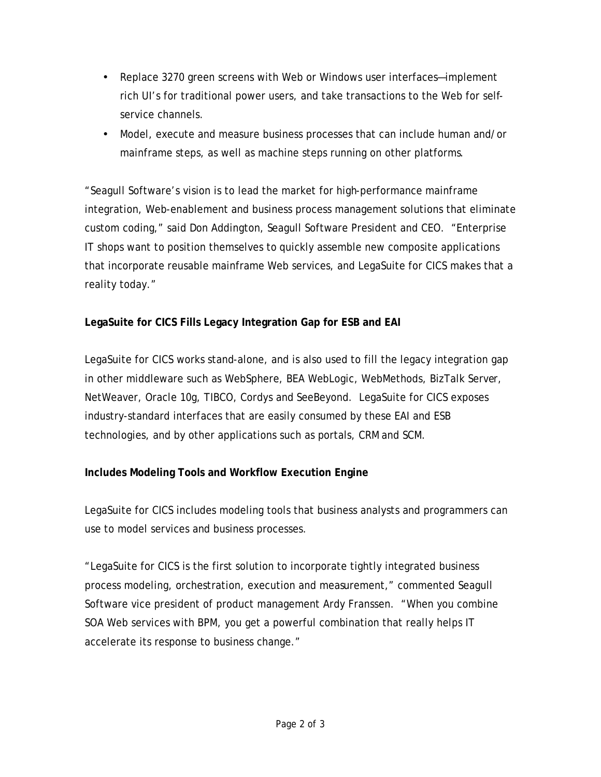- Replace 3270 green screens with Web or Windows user interfaces—implement rich UI's for traditional power users, and take transactions to the Web for selfservice channels.
- Model, execute and measure business processes that can include human and/or mainframe steps, as well as machine steps running on other platforms.

"Seagull Software's vision is to lead the market for high-performance mainframe integration, Web-enablement and business process management solutions that eliminate custom coding," said Don Addington, Seagull Software President and CEO. "Enterprise IT shops want to position themselves to quickly assemble new composite applications that incorporate reusable mainframe Web services, and LegaSuite for CICS makes that a reality today."

### **LegaSuite for CICS Fills Legacy Integration Gap for ESB and EAI**

LegaSuite for CICS works stand-alone, and is also used to fill the legacy integration gap in other middleware such as WebSphere, BEA WebLogic, WebMethods, BizTalk Server, NetWeaver, Oracle 10g, TIBCO, Cordys and SeeBeyond. LegaSuite for CICS exposes industry-standard interfaces that are easily consumed by these EAI and ESB technologies, and by other applications such as portals, CRM and SCM.

## **Includes Modeling Tools and Workflow Execution Engine**

LegaSuite for CICS includes modeling tools that business analysts and programmers can use to model services and business processes.

"LegaSuite for CICS is the first solution to incorporate tightly integrated business process modeling, orchestration, execution and measurement," commented Seagull Software vice president of product management Ardy Franssen. "When you combine SOA Web services with BPM, you get a powerful combination that really helps IT accelerate its response to business change."